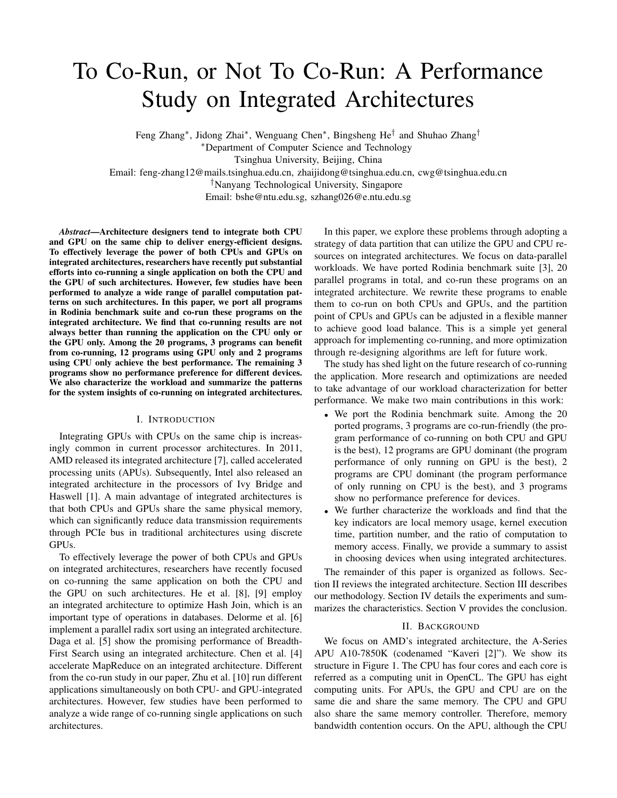# To Co-Run, or Not To Co-Run: A Performance Study on Integrated Architectures

Feng Zhang<sup>∗</sup> , Jidong Zhai<sup>∗</sup> , Wenguang Chen<sup>∗</sup> , Bingsheng He† and Shuhao Zhang†

<sup>∗</sup>Department of Computer Science and Technology

Tsinghua University, Beijing, China

Email: feng-zhang12@mails.tsinghua.edu.cn, zhaijidong@tsinghua.edu.cn, cwg@tsinghua.edu.cn

†Nanyang Technological University, Singapore

Email: bshe@ntu.edu.sg, szhang026@e.ntu.edu.sg

*Abstract*—Architecture designers tend to integrate both CPU and GPU on the same chip to deliver energy-efficient designs. To effectively leverage the power of both CPUs and GPUs on integrated architectures, researchers have recently put substantial efforts into co-running a single application on both the CPU and the GPU of such architectures. However, few studies have been performed to analyze a wide range of parallel computation patterns on such architectures. In this paper, we port all programs in Rodinia benchmark suite and co-run these programs on the integrated architecture. We find that co-running results are not always better than running the application on the CPU only or the GPU only. Among the 20 programs, 3 programs can benefit from co-running, 12 programs using GPU only and 2 programs using CPU only achieve the best performance. The remaining 3 programs show no performance preference for different devices. We also characterize the workload and summarize the patterns for the system insights of co-running on integrated architectures.

# I. INTRODUCTION

Integrating GPUs with CPUs on the same chip is increasingly common in current processor architectures. In 2011, AMD released its integrated architecture [7], called accelerated processing units (APUs). Subsequently, Intel also released an integrated architecture in the processors of Ivy Bridge and Haswell [1]. A main advantage of integrated architectures is that both CPUs and GPUs share the same physical memory, which can significantly reduce data transmission requirements through PCIe bus in traditional architectures using discrete GPUs.

To effectively leverage the power of both CPUs and GPUs on integrated architectures, researchers have recently focused on co-running the same application on both the CPU and the GPU on such architectures. He et al. [8], [9] employ an integrated architecture to optimize Hash Join, which is an important type of operations in databases. Delorme et al. [6] implement a parallel radix sort using an integrated architecture. Daga et al. [5] show the promising performance of Breadth-First Search using an integrated architecture. Chen et al. [4] accelerate MapReduce on an integrated architecture. Different from the co-run study in our paper, Zhu et al. [10] run different applications simultaneously on both CPU- and GPU-integrated architectures. However, few studies have been performed to analyze a wide range of co-running single applications on such architectures.

In this paper, we explore these problems through adopting a strategy of data partition that can utilize the GPU and CPU resources on integrated architectures. We focus on data-parallel workloads. We have ported Rodinia benchmark suite [3], 20 parallel programs in total, and co-run these programs on an integrated architecture. We rewrite these programs to enable them to co-run on both CPUs and GPUs, and the partition point of CPUs and GPUs can be adjusted in a flexible manner to achieve good load balance. This is a simple yet general approach for implementing co-running, and more optimization through re-designing algorithms are left for future work.

The study has shed light on the future research of co-running the application. More research and optimizations are needed to take advantage of our workload characterization for better performance. We make two main contributions in this work:

- We port the Rodinia benchmark suite. Among the 20 ported programs, 3 programs are co-run-friendly (the program performance of co-running on both CPU and GPU is the best), 12 programs are GPU dominant (the program performance of only running on GPU is the best), 2 programs are CPU dominant (the program performance of only running on CPU is the best), and 3 programs show no performance preference for devices.
- We further characterize the workloads and find that the key indicators are local memory usage, kernel execution time, partition number, and the ratio of computation to memory access. Finally, we provide a summary to assist in choosing devices when using integrated architectures.

The remainder of this paper is organized as follows. Section II reviews the integrated architecture. Section III describes our methodology. Section IV details the experiments and summarizes the characteristics. Section V provides the conclusion.

# II. BACKGROUND

We focus on AMD's integrated architecture, the A-Series APU A10-7850K (codenamed "Kaveri [2]"). We show its structure in Figure 1. The CPU has four cores and each core is referred as a computing unit in OpenCL. The GPU has eight computing units. For APUs, the GPU and CPU are on the same die and share the same memory. The CPU and GPU also share the same memory controller. Therefore, memory bandwidth contention occurs. On the APU, although the CPU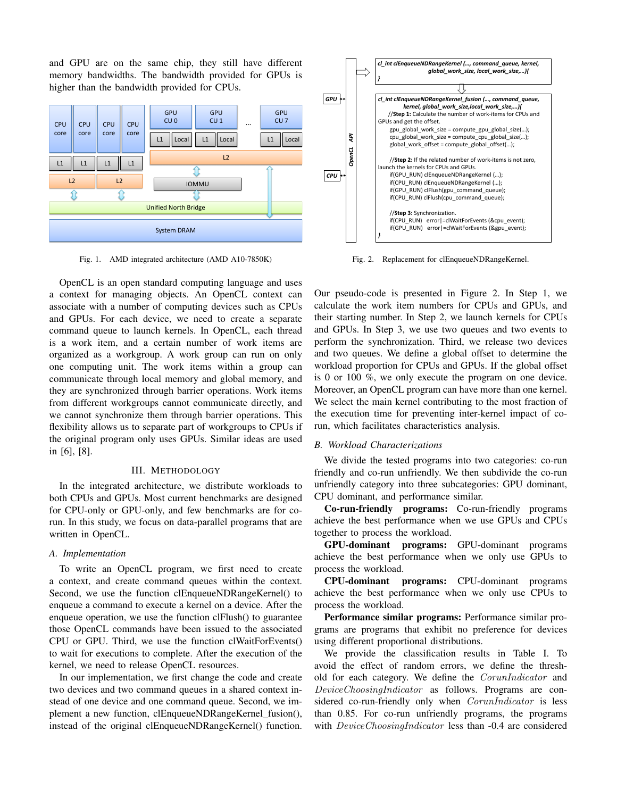and GPU are on the same chip, they still have different memory bandwidths. The bandwidth provided for GPUs is higher than the bandwidth provided for CPUs.



Fig. 1. AMD integrated architecture (AMD A10-7850K)

OpenCL is an open standard computing language and uses a context for managing objects. An OpenCL context can associate with a number of computing devices such as CPUs and GPUs. For each device, we need to create a separate command queue to launch kernels. In OpenCL, each thread is a work item, and a certain number of work items are organized as a workgroup. A work group can run on only one computing unit. The work items within a group can communicate through local memory and global memory, and they are synchronized through barrier operations. Work items from different workgroups cannot communicate directly, and we cannot synchronize them through barrier operations. This flexibility allows us to separate part of workgroups to CPUs if the original program only uses GPUs. Similar ideas are used in [6], [8].

#### III. METHODOLOGY

In the integrated architecture, we distribute workloads to both CPUs and GPUs. Most current benchmarks are designed for CPU-only or GPU-only, and few benchmarks are for corun. In this study, we focus on data-parallel programs that are written in OpenCL.

# *A. Implementation*

To write an OpenCL program, we first need to create a context, and create command queues within the context. Second, we use the function clEnqueueNDRangeKernel() to enqueue a command to execute a kernel on a device. After the enqueue operation, we use the function clFlush() to guarantee those OpenCL commands have been issued to the associated CPU or GPU. Third, we use the function clWaitForEvents() to wait for executions to complete. After the execution of the kernel, we need to release OpenCL resources.

In our implementation, we first change the code and create two devices and two command queues in a shared context instead of one device and one command queue. Second, we implement a new function, clEnqueueNDRangeKernel\_fusion(), instead of the original clEnqueueNDRangeKernel() function.



Fig. 2. Replacement for clEnqueueNDRangeKernel.

Our pseudo-code is presented in Figure 2. In Step 1, we calculate the work item numbers for CPUs and GPUs, and their starting number. In Step 2, we launch kernels for CPUs and GPUs. In Step 3, we use two queues and two events to perform the synchronization. Third, we release two devices and two queues. We define a global offset to determine the workload proportion for CPUs and GPUs. If the global offset is 0 or 100 %, we only execute the program on one device. Moreover, an OpenCL program can have more than one kernel. We select the main kernel contributing to the most fraction of the execution time for preventing inter-kernel impact of corun, which facilitates characteristics analysis.

# *B. Workload Characterizations*

We divide the tested programs into two categories: co-run friendly and co-run unfriendly. We then subdivide the co-run unfriendly category into three subcategories: GPU dominant, CPU dominant, and performance similar.

Co-run-friendly programs: Co-run-friendly programs achieve the best performance when we use GPUs and CPUs together to process the workload.

GPU-dominant programs: GPU-dominant programs achieve the best performance when we only use GPUs to process the workload.

CPU-dominant programs: CPU-dominant programs achieve the best performance when we only use CPUs to process the workload.

Performance similar programs: Performance similar programs are programs that exhibit no preference for devices using different proportional distributions.

We provide the classification results in Table I. To avoid the effect of random errors, we define the threshold for each category. We define the CorunIndicator and DeviceChoosingIndicator as follows. Programs are considered co-run-friendly only when *CorunIndicator* is less than 0.85. For co-run unfriendly programs, the programs with *DeviceChoosingIndicator* less than -0.4 are considered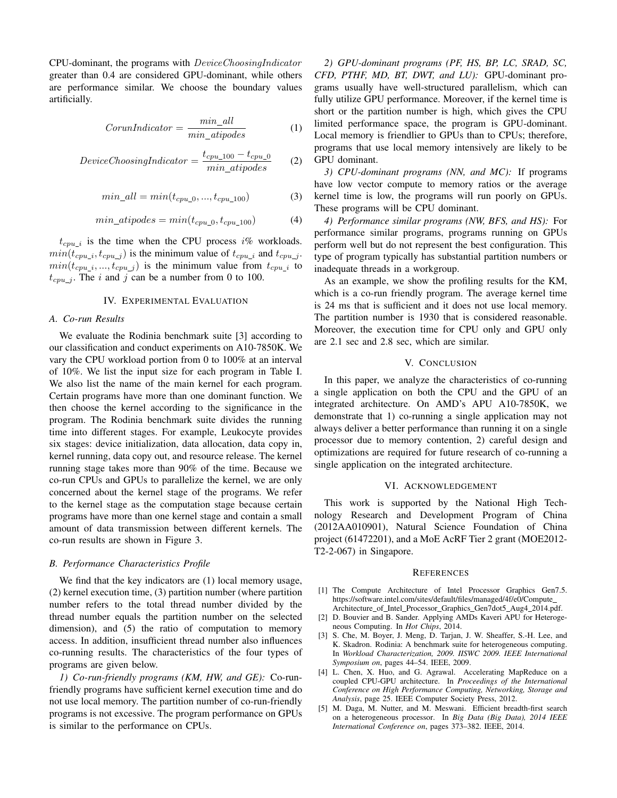CPU-dominant, the programs with DeviceChoosingIndicator greater than 0.4 are considered GPU-dominant, while others are performance similar. We choose the boundary values artificially.

$$
CorunIndicator = \frac{min\_all}{min\_atipodes}
$$
 (1)

$$
DeviceChoosing Indicateor = \frac{t_{cpu\_100} - t_{cpu\_0}}{min\_atipodes}
$$
 (2)

$$
min\_all = min(t_{cpu\_0}, ..., t_{cpu\_100})
$$
\n(3)

$$
min\_atipodes = min(t_{cpu\_0}, t_{cpu\_100})
$$
 (4)

 $t_{cpu\_i}$  is the time when the CPU process i% workloads.  $min(t_{cpu\_i}, t_{cpu\_j})$  is the minimum value of  $t_{cpu\_i}$  and  $t_{cpu\_j}$ .  $min(t_{cpu\_i}, ..., t_{cpu\_j})$  is the minimum value from  $t_{cpu\_i}$  to  $t_{cpu}$ , The i and j can be a number from 0 to 100.

### IV. EXPERIMENTAL EVALUATION

#### *A. Co-run Results*

We evaluate the Rodinia benchmark suite [3] according to our classification and conduct experiments on A10-7850K. We vary the CPU workload portion from 0 to 100% at an interval of 10%. We list the input size for each program in Table I. We also list the name of the main kernel for each program. Certain programs have more than one dominant function. We then choose the kernel according to the significance in the program. The Rodinia benchmark suite divides the running time into different stages. For example, Leukocyte provides six stages: device initialization, data allocation, data copy in, kernel running, data copy out, and resource release. The kernel running stage takes more than 90% of the time. Because we co-run CPUs and GPUs to parallelize the kernel, we are only concerned about the kernel stage of the programs. We refer to the kernel stage as the computation stage because certain programs have more than one kernel stage and contain a small amount of data transmission between different kernels. The co-run results are shown in Figure 3.

## *B. Performance Characteristics Profile*

We find that the key indicators are (1) local memory usage, (2) kernel execution time, (3) partition number (where partition number refers to the total thread number divided by the thread number equals the partition number on the selected dimension), and (5) the ratio of computation to memory access. In addition, insufficient thread number also influences co-running results. The characteristics of the four types of programs are given below.

*1) Co-run-friendly programs (KM, HW, and GE):* Co-runfriendly programs have sufficient kernel execution time and do not use local memory. The partition number of co-run-friendly programs is not excessive. The program performance on GPUs is similar to the performance on CPUs.

*2) GPU-dominant programs (PF, HS, BP, LC, SRAD, SC, CFD, PTHF, MD, BT, DWT, and LU):* GPU-dominant programs usually have well-structured parallelism, which can fully utilize GPU performance. Moreover, if the kernel time is short or the partition number is high, which gives the CPU limited performance space, the program is GPU-dominant. Local memory is friendlier to GPUs than to CPUs; therefore, programs that use local memory intensively are likely to be GPU dominant.

*3) CPU-dominant programs (NN, and MC):* If programs have low vector compute to memory ratios or the average kernel time is low, the programs will run poorly on GPUs. These programs will be CPU dominant.

*4) Performance similar programs (NW, BFS, and HS):* For performance similar programs, programs running on GPUs perform well but do not represent the best configuration. This type of program typically has substantial partition numbers or inadequate threads in a workgroup.

As an example, we show the profiling results for the KM, which is a co-run friendly program. The average kernel time is 24 ms that is sufficient and it does not use local memory. The partition number is 1930 that is considered reasonable. Moreover, the execution time for CPU only and GPU only are 2.1 sec and 2.8 sec, which are similar.

#### V. CONCLUSION

In this paper, we analyze the characteristics of co-running a single application on both the CPU and the GPU of an integrated architecture. On AMD's APU A10-7850K, we demonstrate that 1) co-running a single application may not always deliver a better performance than running it on a single processor due to memory contention, 2) careful design and optimizations are required for future research of co-running a single application on the integrated architecture.

#### VI. ACKNOWLEDGEMENT

This work is supported by the National High Technology Research and Development Program of China (2012AA010901), Natural Science Foundation of China project (61472201), and a MoE AcRF Tier 2 grant (MOE2012- T2-2-067) in Singapore.

#### **REFERENCES**

- [1] The Compute Architecture of Intel Processor Graphics Gen7.5. https://software.intel.com/sites/default/files/managed/4f/e0/Compute Architecture\_of\_Intel\_Processor\_Graphics\_Gen7dot5\_Aug4\_2014.pdf.
- [2] D. Bouvier and B. Sander. Applying AMDs Kaveri APU for Heterogeneous Computing. In *Hot Chips*, 2014.
- [3] S. Che, M. Boyer, J. Meng, D. Tarjan, J. W. Sheaffer, S.-H. Lee, and K. Skadron. Rodinia: A benchmark suite for heterogeneous computing. In *Workload Characterization, 2009. IISWC 2009. IEEE International Symposium on*, pages 44–54. IEEE, 2009.
- [4] L. Chen, X. Huo, and G. Agrawal. Accelerating MapReduce on a coupled CPU-GPU architecture. In *Proceedings of the International Conference on High Performance Computing, Networking, Storage and Analysis*, page 25. IEEE Computer Society Press, 2012.
- [5] M. Daga, M. Nutter, and M. Meswani. Efficient breadth-first search on a heterogeneous processor. In *Big Data (Big Data), 2014 IEEE International Conference on*, pages 373–382. IEEE, 2014.